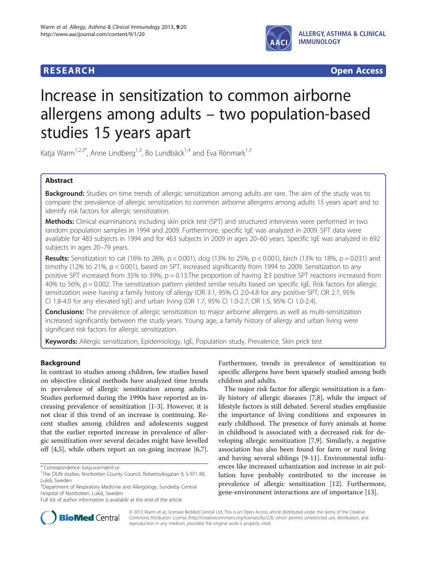

**RESEARCH RESEARCH** *CHECKER CHECKER CHECKER CHECKER CHECKER CHECKER CHECKER CHECKER CHECKER CHECKER CHECKER* 

# Increase in sensitization to common airborne allergens among adults – two population-based studies 15 years apart

Katja Warm<sup>1,2,3\*</sup>, Anne Lindberg<sup>1,3</sup>, Bo Lundbäck<sup>1,4</sup> and Eva Rönmark<sup>1,3</sup>

# Abstract

Background: Studies on time trends of allergic sensitization among adults are rare. The aim of the study was to compare the prevalence of allergic sensitization to common airborne allergens among adults 15 years apart and to identify risk factors for allergic sensitization.

Methods: Clinical examinations including skin prick test (SPT) and structured interviews were performed in two random population samples in 1994 and 2009. Furthermore, specific IgE was analyzed in 2009. SPT data were available for 483 subjects in 1994 and for 463 subjects in 2009 in ages 20–60 years. Specific IgE was analyzed in 692 subjects in ages 20–79 years.

**Results:** Sensitization to cat (16% to 26%,  $p < 0.001$ ), dog (13% to 25%,  $p < 0.001$ ), birch (13% to 18%,  $p = 0.031$ ) and timothy (12% to 21%, p < 0.001), based on SPT, increased significantly from 1994 to 2009. Sensitization to any positive SPT increased from 35% to 39%,  $p = 0.13$ . The proportion of having  $\geq$ 3 positive SPT reactions increased from 40% to 56%,  $p = 0.002$ . The sensitization pattern yielded similar results based on specific IgE. Risk factors for allergic sensitization were having a family history of allergy (OR 3.1, 95% CI 2.0-4.8 for any positive SPT; OR 2.7, 95% CI 1.8-4.0 for any elevated IgE) and urban living (OR 1.7, 95% CI 1.0-2.7; OR 1.5, 95% CI 1.0-2.4).

**Conclusions:** The prevalence of allergic sensitization to major airborne allergens as well as multi-sensitization increased significantly between the study years. Young age, a family history of allergy and urban living were significant risk factors for allergic sensitization.

Keywords: Allergic sensitization, Epidemiology, IgE, Population study, Prevalence, Skin prick test

# Background

In contrast to studies among children, few studies based on objective clinical methods have analyzed time trends in prevalence of allergic sensitization among adults. Studies performed during the 1990s have reported an increasing prevalence of sensitization [\[1](#page-6-0)-[3\]](#page-6-0). However, it is not clear if this trend of an increase is continuing. Recent studies among children and adolescents suggest that the earlier reported increase in prevalence of allergic sensitization over several decades might have levelled off [\[4](#page-6-0),[5](#page-6-0)], while others report an on-going increase [\[6](#page-6-0)[,7](#page-7-0)].

Furthermore, trends in prevalence of sensitization to specific allergens have been sparsely studied among both children and adults.

The major risk factor for allergic sensitization is a family history of allergic diseases [[7,8\]](#page-7-0), while the impact of lifestyle factors is still debated. Several studies emphasize the importance of living conditions and exposures in early childhood. The presence of furry animals at home in childhood is associated with a decreased risk for developing allergic sensitization [[7,9\]](#page-7-0). Similarly, a negative association has also been found for farm or rural living and having several siblings [\[9](#page-7-0)-[11\]](#page-7-0). Environmental influences like increased urbanization and increase in air pollution have probably contributed to the increase in prevalence of allergic sensitization [\[12](#page-7-0)]. Furthermore, gene-environment interactions are of importance [\[13](#page-7-0)].



© 2013 Warm et al.; licensee BioMed Central Ltd. This is an Open Access article distributed under the terms of the Creative Commons Attribution License [\(http://creativecommons.org/licenses/by/2.0\)](http://creativecommons.org/licenses/by/2.0), which permits unrestricted use, distribution, and reproduction in any medium, provided the original work is properly cited.

<sup>\*</sup> Correspondence: [katja.warm@nll.se](mailto:katja.warm@nll.se) <sup>1</sup>

<sup>&</sup>lt;sup>1</sup>The OLIN studies, Norrbotten County Council, Robertsviksgatan 9, S-971 89, Luleå, Sweden

<sup>&</sup>lt;sup>2</sup>Department of Respiratory Medicine and Allergology, Sunderby Central Hospital of Norrbotten, Luleå, Sweden

Full list of author information is available at the end of the article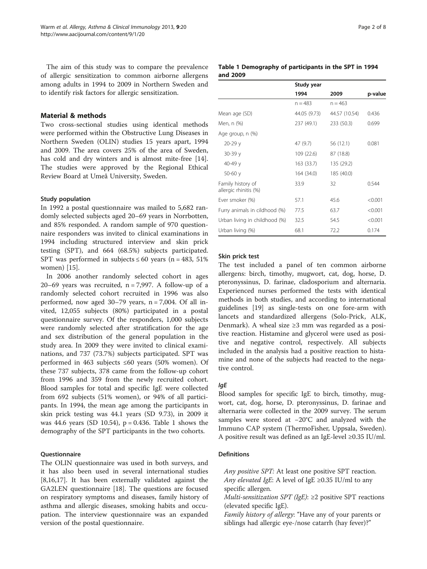The aim of this study was to compare the prevalence of allergic sensitization to common airborne allergens among adults in 1994 to 2009 in Northern Sweden and to identify risk factors for allergic sensitization.

# Material & methods

Two cross-sectional studies using identical methods were performed within the Obstructive Lung Diseases in Northern Sweden (OLIN) studies 15 years apart, 1994 and 2009. The area covers 25% of the area of Sweden, has cold and dry winters and is almost mite-free [\[14](#page-7-0)]. The studies were approved by the Regional Ethical Review Board at Umeå University, Sweden.

## Study population

In 1992 a postal questionnaire was mailed to 5,682 randomly selected subjects aged 20–69 years in Norrbotten, and 85% responded. A random sample of 970 questionnaire responders was invited to clinical examinations in 1994 including structured interview and skin prick testing (SPT), and 664 (68.5%) subjects participated. SPT was performed in subjects  $\leq 60$  years (n = 483, 51%) women) [[15\]](#page-7-0).

In 2006 another randomly selected cohort in ages 20–69 years was recruited,  $n = 7,997$ . A follow-up of a randomly selected cohort recruited in 1996 was also performed, now aged  $30-79$  years,  $n = 7,004$ . Of all invited, 12,055 subjects (80%) participated in a postal questionnaire survey. Of the responders, 1,000 subjects were randomly selected after stratification for the age and sex distribution of the general population in the study area. In 2009 they were invited to clinical examinations, and 737 (73.7%) subjects participated. SPT was performed in 463 subjects ≤60 years (50% women). Of these 737 subjects, 378 came from the follow-up cohort from 1996 and 359 from the newly recruited cohort. Blood samples for total and specific IgE were collected from 692 subjects (51% women), or 94% of all participants. In 1994, the mean age among the participants in skin prick testing was 44.1 years (SD 9.73), in 2009 it was 44.6 years (SD 10.54), p = 0.436. Table 1 shows the demography of the SPT participants in the two cohorts.

## Questionnaire

The OLIN questionnaire was used in both surveys, and it has also been used in several international studies [[8,16,17\]](#page-7-0). It has been externally validated against the GA2LEN questionnaire [[18\]](#page-7-0). The questions are focused on respiratory symptoms and diseases, family history of asthma and allergic diseases, smoking habits and occupation. The interview questionnaire was an expanded version of the postal questionnaire.

#### Table 1 Demography of participants in the SPT in 1994 and 2009

|                                            | Study year   |               |         |
|--------------------------------------------|--------------|---------------|---------|
|                                            | 1994         | 2009          | p-value |
|                                            | $n = 483$    | $n = 463$     |         |
| Mean age (SD)                              | 44.05 (9.73) | 44.57 (10.54) | 0.436   |
| Men, n (%)                                 | 237 (49.1)   | 233 (50.3)    | 0.699   |
| Age group, n (%)                           |              |               |         |
| $20 - 29y$                                 | 47 (9.7)     | 56 (12.1)     | 0.081   |
| $30-39y$                                   | 109 (22.6)   | 87 (18.8)     |         |
| 40-49 y                                    | 163(33.7)    | 135 (29.2)    |         |
| $50-60y$                                   | 164 (34.0)   | 185 (40.0)    |         |
| Family history of<br>allergic rhinitis (%) | 33.9         | 32            | 0.544   |
| Ever smoker (%)                            | 57.1         | 45.6          | < 0.001 |
| Furry animals in cildhood (%)              | 77.5         | 63.7          | < 0.001 |
| Urban living in childhood (%)              | 32.5         | 54.5          | < 0.001 |
| Urban living (%)                           | 68.1         | 72.2          | 0.174   |

# Skin prick test

The test included a panel of ten common airborne allergens: birch, timothy, mugwort, cat, dog, horse, D. pteronyssinus, D. farinae, cladosporium and alternaria. Experienced nurses performed the tests with identical methods in both studies, and according to international guidelines [\[19\]](#page-7-0) as single-tests on one fore-arm with lancets and standardized allergens (Solo-Prick, ALK, Denmark). A wheal size ≥3 mm was regarded as a positive reaction. Histamine and glycerol were used as positive and negative control, respectively. All subjects included in the analysis had a positive reaction to histamine and none of the subjects had reacted to the negative control.

Blood samples for specific IgE to birch, timothy, mugwort, cat, dog, horse, D. pteronyssinus, D. farinae and alternaria were collected in the 2009 survey. The serum samples were stored at −20°C and analyzed with the Immuno CAP system (ThermoFisher, Uppsala, Sweden). A positive result was defined as an IgE-level ≥0.35 IU/ml.

# **Definitions**

Any positive SPT: At least one positive SPT reaction. Any elevated IgE: A level of IgE  $\geq$ 0.35 IU/ml to any specific allergen.

*Multi-sensitization SPT (IgE)*:  $\geq$ 2 positive SPT reactions (elevated specific IgE).

Family history of allergy: "Have any of your parents or siblings had allergic eye-/nose catarrh (hay fever)?"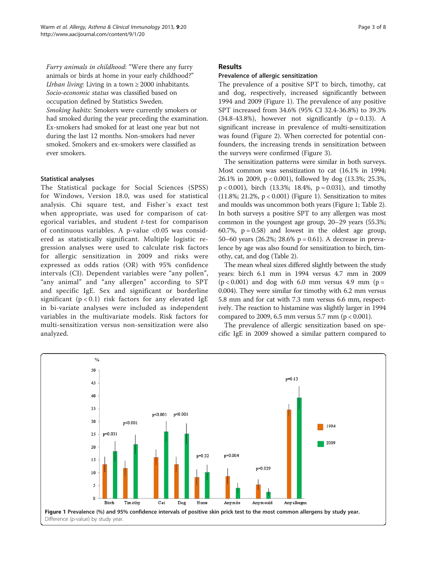Furry animals in childhood: "Were there any furry animals or birds at home in your early childhood?" Urban living: Living in a town  $\geq 2000$  inhabitants. Socio-economic status was classified based on occupation defined by Statistics Sweden. Smoking habits: Smokers were currently smokers or had smoked during the year preceding the examination. Ex-smokers had smoked for at least one year but not during the last 12 months. Non-smokers had never smoked. Smokers and ex-smokers were classified as ever smokers.

# Statistical analyses

The Statistical package for Social Sciences (SPSS) for Windows, Version 18.0, was used for statistical analysis. Chi square test, and Fisher´s exact test when appropriate, was used for comparison of categorical variables, and student t-test for comparison of continuous variables. A p-value <0.05 was considered as statistically significant. Multiple logistic regression analyses were used to calculate risk factors for allergic sensitization in 2009 and risks were expressed as odds ratios (OR) with 95% confidence intervals (CI). Dependent variables were "any pollen", "any animal" and "any allergen" according to SPT and specific IgE. Sex and significant or borderline significant ( $p < 0.1$ ) risk factors for any elevated IgE in bi-variate analyses were included as independent variables in the multivariate models. Risk factors for multi-sensitization versus non-sensitization were also analyzed.

# Results

# Prevalence of allergic sensitization

The prevalence of a positive SPT to birch, timothy, cat and dog, respectively, increased significantly between 1994 and 2009 (Figure 1). The prevalence of any positive SPT increased from 34.6% (95% CI 32.4-36.8%) to 39.3%  $(34.8-43.8\%)$ , however not significantly  $(p = 0.13)$ . A significant increase in prevalence of multi-sensitization was found (Figure [2](#page-3-0)). When corrected for potential confounders, the increasing trends in sensitization between the surveys were confirmed (Figure [3\)](#page-4-0).

The sensitization patterns were similar in both surveys. Most common was sensitization to cat (16.1% in 1994; 26.1% in 2009, p < 0.001), followed by dog (13.3%; 25.3%,  $p < 0.001$ ), birch (13.3%; 18.4%,  $p = 0.031$ ), and timothy (11.8%; 21.2%,  $p < 0.001$ ) (Figure 1). Sensitization to mites and moulds was uncommon both years (Figure 1; Table [2](#page-5-0)). In both surveys a positive SPT to any allergen was most common in the youngest age group, 20–29 years (55.3%; 60.7%,  $p = 0.58$  and lowest in the oldest age group, 50–60 years (26.2%; 28.6% p = 0.61). A decrease in prevalence by age was also found for sensitization to birch, timothy, cat, and dog (Table [2](#page-5-0)).

The mean wheal sizes differed slightly between the study years: birch 6.1 mm in 1994 versus 4.7 mm in 2009  $(p < 0.001)$  and dog with 6.0 mm versus 4.9 mm (p = 0.004). They were similar for timothy with 6.2 mm versus 5.8 mm and for cat with 7.3 mm versus 6.6 mm, respectively. The reaction to histamine was slightly larger in 1994 compared to 2009, 6.5 mm versus 5.7 mm ( $p < 0.001$ ).

The prevalence of allergic sensitization based on specific IgE in 2009 showed a similar pattern compared to

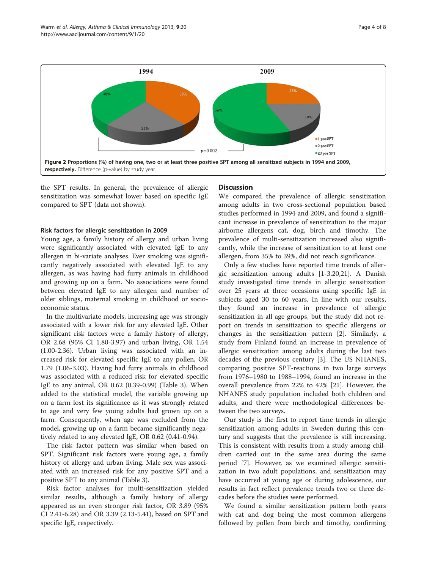<span id="page-3-0"></span>

the SPT results. In general, the prevalence of allergic sensitization was somewhat lower based on specific IgE compared to SPT (data not shown).

#### Risk factors for allergic sensitization in 2009

Young age, a family history of allergy and urban living were significantly associated with elevated IgE to any allergen in bi-variate analyses. Ever smoking was significantly negatively associated with elevated IgE to any allergen, as was having had furry animals in childhood and growing up on a farm. No associations were found between elevated IgE to any allergen and number of older siblings, maternal smoking in childhood or socioeconomic status.

In the multivariate models, increasing age was strongly associated with a lower risk for any elevated IgE. Other significant risk factors were a family history of allergy, OR 2.68 (95% CI 1.80-3.97) and urban living, OR 1.54 (1.00-2.36). Urban living was associated with an increased risk for elevated specific IgE to any pollen, OR 1.79 (1.06-3.03). Having had furry animals in childhood was associated with a reduced risk for elevated specific IgE to any animal, OR 0.62 (0.39-0.99) (Table [3](#page-5-0)). When added to the statistical model, the variable growing up on a farm lost its significance as it was strongly related to age and very few young adults had grown up on a farm. Consequently, when age was excluded from the model, growing up on a farm became significantly negatively related to any elevated IgE, OR 0.62 (0.41-0.94).

The risk factor pattern was similar when based on SPT. Significant risk factors were young age, a family history of allergy and urban living. Male sex was associated with an increased risk for any positive SPT and a positive SPT to any animal (Table [3](#page-5-0)).

Risk factor analyses for multi-sensitization yielded similar results, although a family history of allergy appeared as an even stronger risk factor, OR 3.89 (95% CI 2.41-6.28) and OR 3.39 (2.13-5.41), based on SPT and specific IgE, respectively.

## **Discussion**

We compared the prevalence of allergic sensitization among adults in two cross-sectional population based studies performed in 1994 and 2009, and found a significant increase in prevalence of sensitization to the major airborne allergens cat, dog, birch and timothy. The prevalence of multi-sensitization increased also significantly, while the increase of sensitization to at least one allergen, from 35% to 39%, did not reach significance.

Only a few studies have reported time trends of allergic sensitization among adults [[1-3](#page-6-0)[,20,21](#page-7-0)]. A Danish study investigated time trends in allergic sensitization over 25 years at three occasions using specific IgE in subjects aged 30 to 60 years. In line with our results, they found an increase in prevalence of allergic sensitization in all age groups, but the study did not report on trends in sensitization to specific allergens or changes in the sensitization pattern [\[2](#page-6-0)]. Similarly, a study from Finland found an increase in prevalence of allergic sensitization among adults during the last two decades of the previous century [[3\]](#page-6-0). The US NHANES, comparing positive SPT-reactions in two large surveys from 1976–1980 to 1988–1994, found an increase in the overall prevalence from 22% to 42% [\[21](#page-7-0)]. However, the NHANES study population included both children and adults, and there were methodological differences between the two surveys.

Our study is the first to report time trends in allergic sensitization among adults in Sweden during this century and suggests that the prevalence is still increasing. This is consistent with results from a study among children carried out in the same area during the same period [[7\]](#page-7-0). However, as we examined allergic sensitization in two adult populations, and sensitization may have occurred at young age or during adolescence, our results in fact reflect prevalence trends two or three decades before the studies were performed.

We found a similar sensitization pattern both years with cat and dog being the most common allergens followed by pollen from birch and timothy, confirming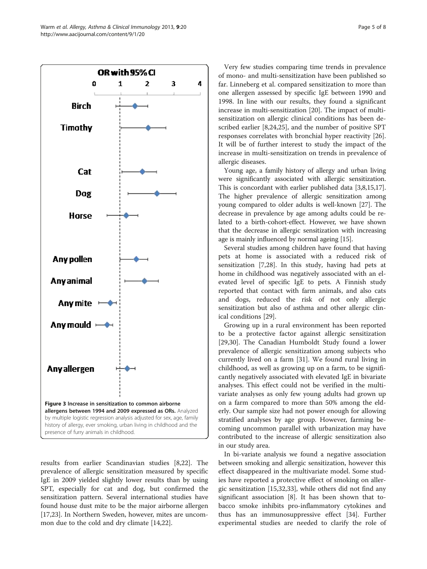

<span id="page-4-0"></span>

results from earlier Scandinavian studies [[8,22\]](#page-7-0). The prevalence of allergic sensitization measured by specific IgE in 2009 yielded slightly lower results than by using SPT, especially for cat and dog, but confirmed the sensitization pattern. Several international studies have found house dust mite to be the major airborne allergen [[17,23\]](#page-7-0). In Northern Sweden, however, mites are uncommon due to the cold and dry climate [[14](#page-7-0),[22](#page-7-0)].

Very few studies comparing time trends in prevalence of mono- and multi-sensitization have been published so far. Linneberg et al. compared sensitization to more than one allergen assessed by specific IgE between 1990 and 1998. In line with our results, they found a significant increase in multi-sensitization [\[20\]](#page-7-0). The impact of multisensitization on allergic clinical conditions has been described earlier [[8,24,25\]](#page-7-0), and the number of positive SPT responses correlates with bronchial hyper reactivity [\[26](#page-7-0)]. It will be of further interest to study the impact of the increase in multi-sensitization on trends in prevalence of allergic diseases.

Young age, a family history of allergy and urban living were significantly associated with allergic sensitization. This is concordant with earlier published data [\[3](#page-6-0)[,8,15,17](#page-7-0)]. The higher prevalence of allergic sensitization among young compared to older adults is well-known [\[27\]](#page-7-0). The decrease in prevalence by age among adults could be related to a birth-cohort-effect. However, we have shown that the decrease in allergic sensitization with increasing age is mainly influenced by normal ageing [[15](#page-7-0)].

Several studies among children have found that having pets at home is associated with a reduced risk of sensitization [\[7,28](#page-7-0)]. In this study, having had pets at home in childhood was negatively associated with an elevated level of specific IgE to pets. A Finnish study reported that contact with farm animals, and also cats and dogs, reduced the risk of not only allergic sensitization but also of asthma and other allergic clinical conditions [\[29](#page-7-0)].

Growing up in a rural environment has been reported to be a protective factor against allergic sensitization [[29,30\]](#page-7-0). The Canadian Humboldt Study found a lower prevalence of allergic sensitization among subjects who currently lived on a farm [[31\]](#page-7-0). We found rural living in childhood, as well as growing up on a farm, to be significantly negatively associated with elevated IgE in bivariate analyses. This effect could not be verified in the multivariate analyses as only few young adults had grown up on a farm compared to more than 50% among the elderly. Our sample size had not power enough for allowing stratified analyses by age group. However, farming becoming uncommon parallel with urbanization may have contributed to the increase of allergic sensitization also in our study area.

In bi-variate analysis we found a negative association between smoking and allergic sensitization, however this effect disappeared in the multivariate model. Some studies have reported a protective effect of smoking on allergic sensitization [[15](#page-7-0),[32,33](#page-7-0)], while others did not find any significant association [[8](#page-7-0)]. It has been shown that tobacco smoke inhibits pro-inflammatory cytokines and thus has an immunosuppressive effect [\[34\]](#page-7-0). Further experimental studies are needed to clarify the role of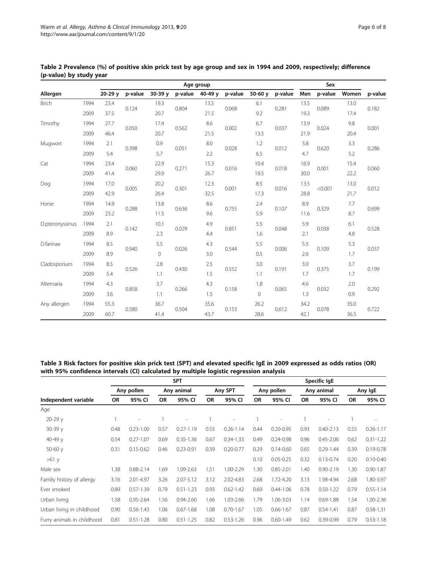|                 |      |          |         |          | Sex     |                     |         |                |         |      |                     |       |         |
|-----------------|------|----------|---------|----------|---------|---------------------|---------|----------------|---------|------|---------------------|-------|---------|
| Allergen        |      | $20-29y$ | p-value | $30-39y$ | p-value | 40-49 $v$           | p-value | 50-60 $y$      | p-value | Men  | p-value             | Women | p-value |
| Birch           | 1994 | 23.4     | 0.124   | 19.3     |         | 13.5                | 0.068   | 6.1            | 0.281   | 13.5 | 0.089               | 13.0  | 0.182   |
|                 | 2009 | 37.5     |         | 20.7     | 0.804   | 21.5                |         | 9.2            |         | 19.3 |                     | 17.4  |         |
| Timothy         | 1994 | 27.7     | 0.050   | 17.4     | 0.562   | 8.6                 | 0.002   | 6.7            | 0.037   | 13.9 | 0.024               | 9.8   | 0.001   |
|                 | 2009 | 46.4     |         | 20.7     |         | 21.5                |         | 13.5           |         | 21.9 |                     | 20.4  |         |
| Mugwort         | 1994 | 2.1      |         | 0.9      |         | 8.0<br>0.051<br>2.2 | 0.028   | 1.2            | 0.012   | 3.8  | 3.3<br>0.620<br>5.2 |       | 0.286   |
|                 | 2009 | 5.4      | 0.398   | 5.7      |         |                     |         | 6.5            |         | 4.7  |                     |       |         |
| Cat             | 1994 | 23.4     |         | 22.9     |         | 15.3                | 0.016   | 10.4           | 0.018   | 16.9 | 0.001               | 15.4  | 0.060   |
|                 | 2009 | 41.4     | 0.060   | 29.9     | 0.271   | 26.7                |         | 19.5           |         | 30.0 |                     | 22.2  |         |
| Dog             | 1994 | 17.0     | 0.005   | 20.2     | 12.3    |                     | 0.001   | 8.5            | 0.016   | 13.5 | < 0.001             | 13.0  | 0.012   |
|                 | 2009 | 42.9     |         | 26.4     | 0.301   | 32.5                |         | 17.3           |         | 28.8 |                     | 21.7  |         |
| Horse           | 1994 | 14.9     | 0.288   | 13.8     | 0.636   | 8.6                 | 0.755   | 2.4            | 0.107   | 8.9  | 0.329               | 7.7   | 0.699   |
|                 | 2009 | 23.2     |         | 11.5     |         | 9.6                 |         | 5.9            |         | 11.6 |                     | 8.7   |         |
| D.pteronyssinus | 1994 | 2.1      | 0.142   | 10.1     |         | 4.9                 | 0.851   | 5.5            | 0.048   | 5.9  | 0.038               | 6.1   | 0.528   |
|                 | 2009 | 8.9      |         | 2.3      | 0.029   | 4.4                 |         | 1.6            |         | 2.1  |                     | 4.8   |         |
| D.farinae       | 1994 | 8.5      | 0.940   | 5.5      |         | 4.3                 | 0.544   | 5.5            | 0.006   | 5.5  | 0.109               | 5.3   | 0.037   |
|                 | 2009 | 8.9      |         | $\Omega$ | 0.026   | 3.0                 |         | 0.5            |         | 2.6  |                     | 1.7   |         |
| Cladosporium    | 1994 | 8.5      | 0.526   | 2.8      |         | 2.5<br>1.5          | 0.552   | 3.0            | 0.191   | 3.0  | 0.375               | 3.7   | 0.199   |
|                 | 2009 | 5.4      |         | 1.1      | 0.430   |                     |         | 1.1            |         | 1.7  |                     | 1.7   |         |
| Alternaria      | 1994 | 4.3      | 0.858   | 3.7      |         | 4.3                 | 0.158   | 1.8            | 0.065   | 4.6  | 0.032               | 2.0   | 0.292   |
|                 | 2009 | 3.6      |         | 1.1      | 0.266   | 1.5                 |         | $\overline{0}$ |         | 1.3  |                     | 0.9   |         |
| Any allergen    | 1994 | 55.3     |         | 36.7     |         | 35.6<br>43.7        | 0.153   | 26.2           | 0.612   | 34.2 | 0.078               | 35.0  | 0.722   |
|                 | 2009 | 60.7     | 0.580   | 41.4     | 0.504   |                     |         | 28.6           |         | 42.1 |                     | 36.5  |         |

<span id="page-5-0"></span>Table 2 Prevalence (%) of positive skin prick test by age group and sex in 1994 and 2009, respectively; difference (p-value) by study year

# Table 3 Risk factors for positive skin prick test (SPT) and elevated specific IgE in 2009 expressed as odds ratios (OR) with 95% confidence intervals (CI) calculated by multiple logistic regression analysis

|                            | <b>SPT</b> |                          |            |                |           |               |            | Specific IgE  |            |                          |           |                          |  |  |
|----------------------------|------------|--------------------------|------------|----------------|-----------|---------------|------------|---------------|------------|--------------------------|-----------|--------------------------|--|--|
| Independent variable       | Any pollen |                          | Any animal |                | Any SPT   |               | Any pollen |               | Any animal |                          | Any IgE   |                          |  |  |
|                            | <b>OR</b>  | 95% CI                   | <b>OR</b>  | 95% CI         | <b>OR</b> | 95% CI        | <b>OR</b>  | 95% CI        | <b>OR</b>  | 95% CI                   | <b>OR</b> | 95% CI                   |  |  |
| Age                        |            |                          |            |                |           |               |            |               |            |                          |           |                          |  |  |
| 20-29 v                    |            | $\overline{\phantom{a}}$ |            | $\overline{a}$ |           | ۰             |            | ۰             |            | $\overline{\phantom{a}}$ |           | $\overline{\phantom{a}}$ |  |  |
| $30-39y$                   | 0.48       | $0.23 - 1.00$            | 0.57       | $0.27 - 1.19$  | 0.55      | $0.26 - 1.14$ | 0.44       | $0.20 - 0.95$ | 0.93       | $0.40 - 2.13$            | 0.55      | $0.26 - 1.17$            |  |  |
| 40-49 $v$                  | 0.54       | $0.27 - 1.07$            | 0.69       | $0.35 - 1.36$  | 0.67      | $0.34 - 1.33$ | 0.49       | $0.24 - 0.98$ | 0.96       | $0.45 - 2.06$            | 0.62      | $0.31 - 1.22$            |  |  |
| 50-60 $y$                  | 0.31       | $0.15 - 0.62$            | 0.46       | $0.23 - 0.91$  | 0.39      | $0.20 - 0.77$ | 0.29       | $0.14 - 0.60$ | 0.65       | $0.29 - 1.44$            | 0.39      | $0.19 - 0.78$            |  |  |
| $>61$ y                    |            |                          |            |                |           |               | 0.10       | $0.05 - 0.25$ | 0.32       | $0.13 - 0.74$            | 0.20      | $0.10 - 0.40$            |  |  |
| Male sex                   | .38        | $0.88 - 2.14$            | 1.69       | 1.09-2.63      | 1.51      | 1.00-2.29     | 1.30       | $0.85 - 2.01$ | 1.40       | $0.90 - 2.19$            | 1.30      | $0.90 - 1.87$            |  |  |
| Family history of allergy  | 3.16       | 2.01-4.97                | 3.26       | $2.07 - 5.12$  | 3.12      | 2.02-4.83     | 2.68       | 1.72-4.20     | 3.13       | 1.98-4.94                | 2.68      | 1.80-3.97                |  |  |
| Ever smoked                | 0.89       | $0.57 - 1.39$            | 0.79       | $0.51 - 1.23$  | 0.93      | $0.62 - 1.42$ | 0.69       | $0.44 - 1.06$ | 0.78       | $0.50 - 1.22$            | 0.79      | $0.55 - 1.14$            |  |  |
| Urban living               | 1.58       | $0.95 - 2.64$            | 1.56       | $0.94 - 2.60$  | 1.66      | 1.03-2.66     | 1.79       | 1.06-3.03     | 1.14       | $0.69 - 1.88$            | 1.54      | 1.00-2.36                |  |  |
| Urban living in childhood  | 0.90       | $0.56 - 1.43$            | 1.06       | $0.67 - 1.68$  | 1.08      | $0.70 - 1.67$ | 1.05       | $0.66 - 1.67$ | 0.87       | $0.54 - 1.41$            | 0.87      | $0.58 - 1.31$            |  |  |
| Furry animals in childhood | 0.81       | $0.51 - 1.28$            | 0.80       | $0.51 - 1.25$  | 0.82      | $0.53 - 1.26$ | 0.96       | $0.60 - 1.49$ | 0.62       | $0.39 - 0.99$            | 0.79      | $0.53 - 1.18$            |  |  |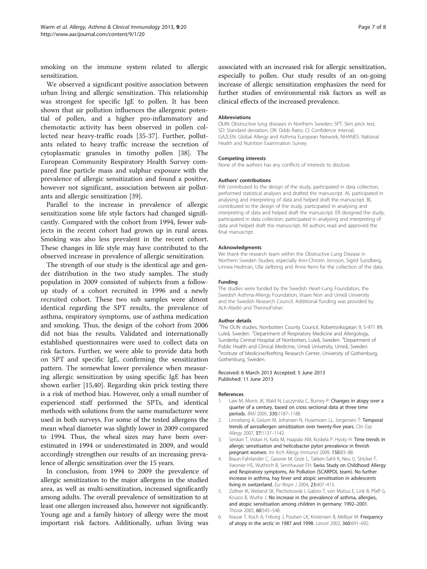<span id="page-6-0"></span>smoking on the immune system related to allergic sensitization.

We observed a significant positive association between urban living and allergic sensitization. This relationship was strongest for specific IgE to pollen. It has been shown that air pollution influences the allergenic potential of pollen, and a higher pro-inflammatory and chemotactic activity has been observed in pollen collected near heavy-traffic roads [\[35](#page-7-0)-[37](#page-7-0)]. Further, pollutants related to heavy traffic increase the secretion of cytoplasmatic granules in timothy pollen [[38\]](#page-7-0). The European Community Respiratory Health Survey compared fine particle mass and sulphur exposure with the prevalence of allergic sensitization and found a positive, however not significant, association between air pollutants and allergic sensitization [[39](#page-7-0)].

Parallel to the increase in prevalence of allergic sensitization some life style factors had changed significantly. Compared with the cohort from 1994, fewer subjects in the recent cohort had grown up in rural areas. Smoking was also less prevalent in the recent cohort. These changes in life style may have contributed to the observed increase in prevalence of allergic sensitization.

The strength of our study is the identical age and gender distribution in the two study samples. The study population in 2009 consisted of subjects from a followup study of a cohort recruited in 1996 and a newly recruited cohort. These two sub samples were almost identical regarding the SPT results, the prevalence of asthma, respiratory symptoms, use of asthma medication and smoking. Thus, the design of the cohort from 2006 did not bias the results. Validated and internationally established questionnaires were used to collect data on risk factors. Further, we were able to provide data both on SPT and specific IgE, confirming the sensitization pattern. The somewhat lower prevalence when measuring allergic sensitization by using specific IgE has been shown earlier [\[15,40\]](#page-7-0). Regarding skin prick testing there is a risk of method bias. However, only a small number of experienced staff performed the SPTs, and identical methods with solutions from the same manufacturer were used in both surveys. For some of the tested allergens the mean wheal diameter was slightly lower in 2009 compared to 1994. Thus, the wheal sizes may have been overestimated in 1994 or underestimated in 2009, and would accordingly strengthen our results of an increasing prevalence of allergic sensitization over the 15 years.

In conclusion, from 1994 to 2009 the prevalence of allergic sensitization to the major allergens in the studied area, as well as multi-sensitization, increased significantly among adults. The overall prevalence of sensitization to at least one allergen increased also, however not significantly. Young age and a family history of allergy were the most important risk factors. Additionally, urban living was

#### Abbreviations

OLIN: Obstructive lung diseases in Northern Sweden; SPT: Skin prick test; SD: Standard deviation; OR: Odds Ratio; CI: Confidence interval; GA2LEN: Global Allergy and Asthma European Network; NHANES: National Health and Nutrition Examination Survey.

#### Competing interests

None of the authors has any conflicts of interests to disclose.

clinical effects of the increased prevalence.

#### Authors' contributions

KW contributed to the design of the study, participated in data collection, performed statistical analyses and drafted the manuscript. AL participated in analysing and interpreting of data and helped draft the manuscript. BL contributed to the design of the study, participated in analysing and interpreting of data and helped draft the manuscript. ER designed the study, participated in data collection, participated in analysing and interpreting of data and helped draft the manuscript. All authors read and approved the final manuscript.

#### Acknowledgments

We thank the research team within the Obstructive Lung Disease in Northern Sweden Studies, especially Ann-Christin Jonsson, Sigrid Sundberg, Linnea Hedman, Ulla Jarlbring and Anne Kemi for the collection of the data.

#### Funding

The studies were funded by the Swedish Heart-Lung Foundation, the Swedish Asthma-Allergy Foundation, Visare Norr and Umeå University and the Swedish Research Council. Additional funding was provided by ALK-Abelló and ThermoFisher.

#### Author details

<sup>1</sup>The OLIN studies, Norrbotten County Council, Robertsviksgatan 9, S-971 89 Luleå, Sweden. <sup>2</sup>Department of Respiratory Medicine and Allergology, Sunderby Central Hospital of Norrbotten, Luleå, Sweden. <sup>3</sup>Department of Public Health and Clinical Medicine, Umeå University, Umeå, Sweden. 4 Institute of Medicine/Krefting Research Center, University of Gothenburg, Gothenburg, Sweden.

#### Received: 6 March 2013 Accepted: 5 June 2013 Published: 11 June 2013

#### References

- Law M, Morris JK, Wald N, Luczynska C, Burney P: Changes in atopy over a quarter of a century, based on cross sectional data at three time periods. BMJ 2005, 330:1187–1188.
- Linneberg A, Gislum M, Johansen N, Husemoen LL, Jorgensen T: Temporal trends of aeroallergen sensitization over twenty-five years. Clin Exp Allergy 2007, 37:1137–1142.
- 3. Seiskari T, Viskari H, Kaila M, Haapala AM, Koskela P, Hyoty H: Time trends in allergic sensitisation and helicobacter pylori prevalence in finnish pregnant women. Int Arch Allergy Immunol 2009, 150:83–88.
- 4. Braun-Fahrlander C, Gassner M, Grize L, Takken-Sahli K, Neu U, Stricker T, Varonier HS, Wuthrich B, Sennhauser FH: Swiss Study on Childhood Allergy and Respiratory symptoms, Air Pollution (SCARPOL team). No further increase in asthma, hay fever and atopic sensitisation in adolescents living in switzerland. Eur Respir J 2004, 23:407–413.
- 5. Zollner IK, Weiland SK, Piechotowski I, Gabrio T, von Mutius E, Link B, Pfaff G, Kouros B, Wuthe J: No increase in the prevalence of asthma, allergies, and atopic sensitisation among children in germany: 1992–2001. Thorax 2005, 60:545–548.
- 6. Krause T, Koch A, Friborg J, Poulsen LK, Kristensen B, Melbye M: Frequency of atopy in the arctic in 1987 and 1998. Lancet 2002, 360:691–692.